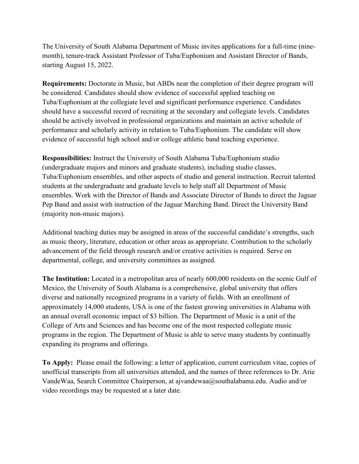The University of South Alabama Department of Music invites applications for a full-time (ninemonth), tenure-track Assistant Professor of Tuba/Euphonium and Assistant Director of Bands, starting August 15, 2022.

**Requirements:** Doctorate in Music, but ABDs near the completion of their degree program will be considered. Candidates should show evidence of successful applied teaching on Tuba/Euphonium at the collegiate level and significant performance experience. Candidates should have a successful record of recruiting at the secondary and collegiate levels. Candidates should be actively involved in professional organizations and maintain an active schedule of performance and scholarly activity in relation to Tuba/Euphonium. The candidate will show evidence of successful high school and/or college athletic band teaching experience.

**Responsibilities:** Instruct the University of South Alabama Tuba/Euphonium studio (undergraduate majors and minors and graduate students), including studio classes, Tuba/Euphonium ensembles, and other aspects of studio and general instruction. Recruit talented students at the undergraduate and graduate levels to help staff all Department of Music ensembles. Work with the Director of Bands and Associate Director of Bands to direct the Jaguar Pep Band and assist with instruction of the Jaguar Marching Band. Direct the University Band (majority non-music majors).

Additional teaching duties may be assigned in areas of the successful candidate's strengths, such as music theory, literature, education or other areas as appropriate. Contribution to the scholarly advancement of the field through research and/or creative activities is required. Serve on departmental, college, and university committees as assigned.

**The Institution:** Located in a metropolitan area of nearly 600,000 residents on the scenic Gulf of Mexico, the University of South Alabama is a comprehensive, global university that offers diverse and nationally recognized programs in a variety of fields. With an enrollment of approximately 14,000 students, USA is one of the fastest growing universities in Alabama with an annual overall economic impact of \$3 billion. The Department of Music is a unit of the College of Arts and Sciences and has become one of the most respected collegiate music programs in the region. The Department of Music is able to serve many students by continually expanding its programs and offerings.

**To Apply:** Please email the following: a letter of application, current curriculum vitae, copies of unofficial transcripts from all universities attended, and the names of three references to Dr. Arie VandeWaa, Search Committee Chairperson, at ajvandewaa@southalabama.edu. Audio and/or video recordings may be requested at a later date.